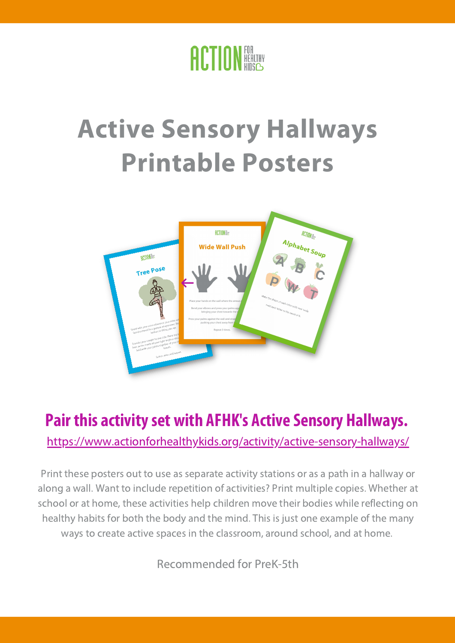

#### **Active Sensory Hallways Printable Posters**



#### **Pair this activityset with AFHK's Active Sensory Hallways.**

[https://www.actionforhealthykids.org/activity/active-sensory-hallways/](https://www.actionforhealthykids.org/activity/feelings-forecast/)

Print these posters out to use as separate activity stations or as a path in a hallway or along a wall. Want to include repetition of activities? Print multiple copies. Whether at school or at home, these activities help children move their bodies while reflecting on healthy habits for both the body and the mind. This is just one example of the many ways to create active spaces in the classroom, around school, and at home.

Recommended for PreK-5th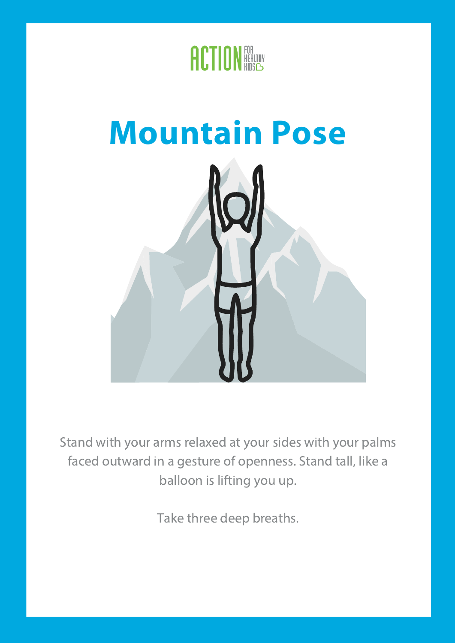



Stand with your arms relaxed at your sides with your palms faced outward in a gesture of openness. Stand tall, like a balloon is lifting you up.

Take three deep breaths.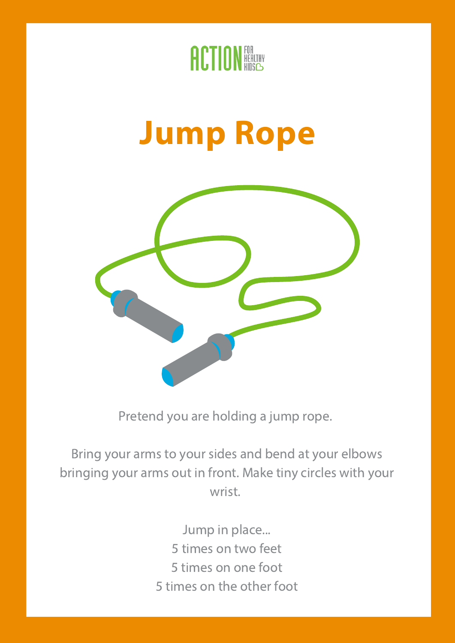

#### **Jump Rope**



Pretend you are holding a jump rope.

Bring your arms to your sides and bend at your elbows bringing your arms out in front. Make tiny circles with your wrist.

> Jump in place... times on two feet times on one foot times on the other foot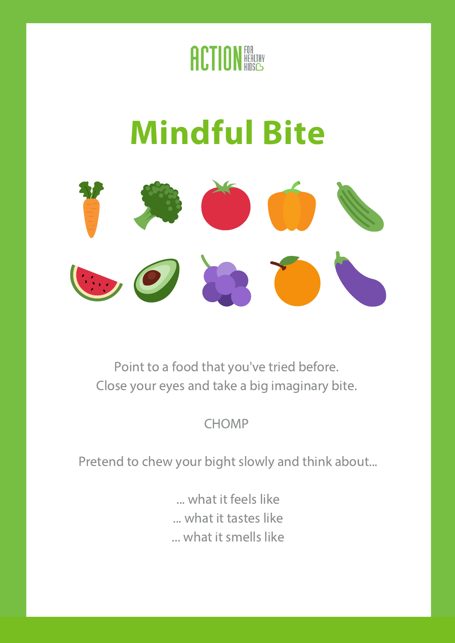

## **Mindful Bite**



Point to a food that you've tried before. Close your eyes and take a big imaginary bite.

**CHOMP** 

Pretend to chew your bight slowly and think about...

... what it feels like ... what it tastes like ... what it smells like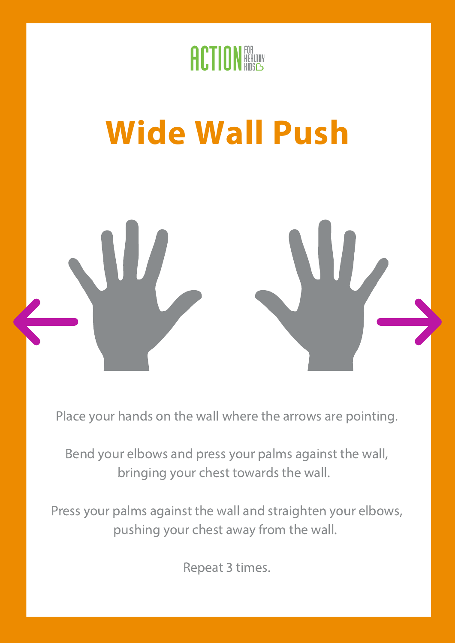

# **Wide Wall Push**

Place your hands on the wall where the arrows are pointing.

Bend your elbows and press your palms against the wall, bringing your chest towards the wall.

Press your palms against the wall and straighten your elbows, pushing your chest away from the wall.

Repeat 3 times.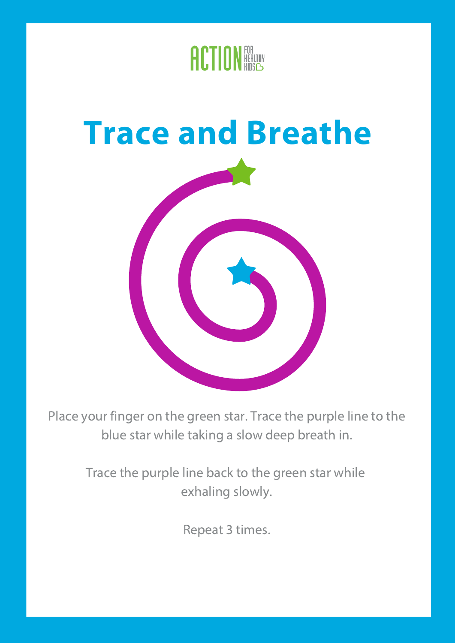

#### **Trace and Breathe**



Place your finger on the green star. Trace the purple line to the blue star while taking a slow deep breath in.

> Trace the purple line back to the green star while exhaling slowly.

> > Repeat 3 times.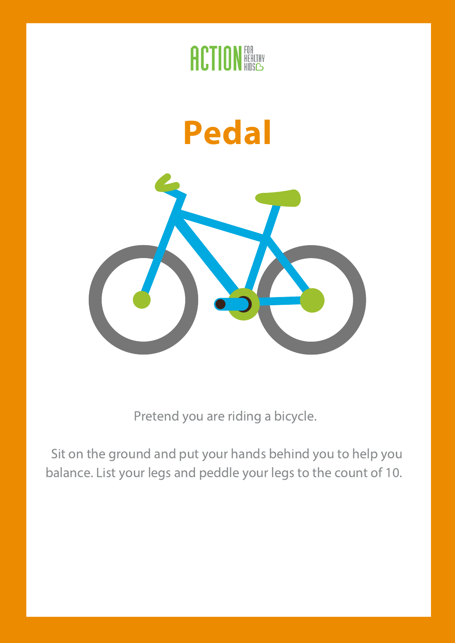

#### **Pedal**



Pretend you are riding a bicycle.

Sit on the ground and put your hands behind you to help you balance. List your legs and peddle your legs to the count of 10.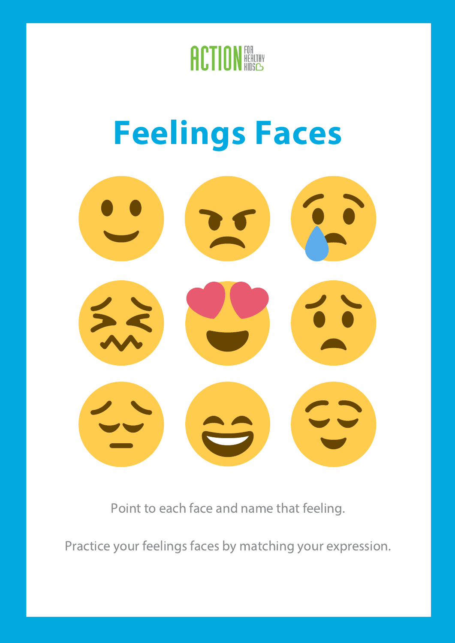

### **Feelings Faces**



Point to each face and name that feeling.

Practice your feelings faces by matching your expression.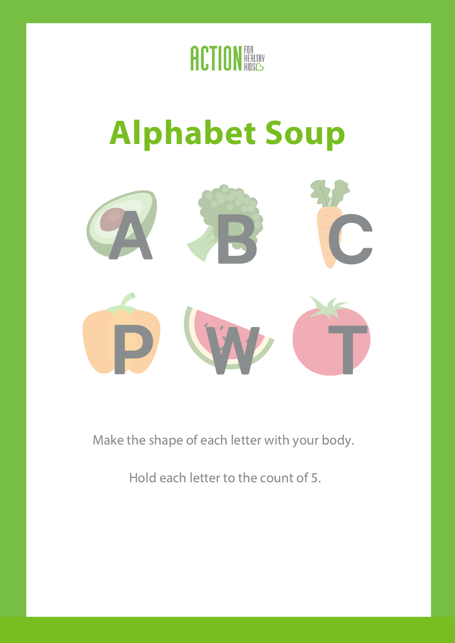

## **Alphabet Soup**



Make the shape of each letter with your body.

Hold each letter to the count of 5.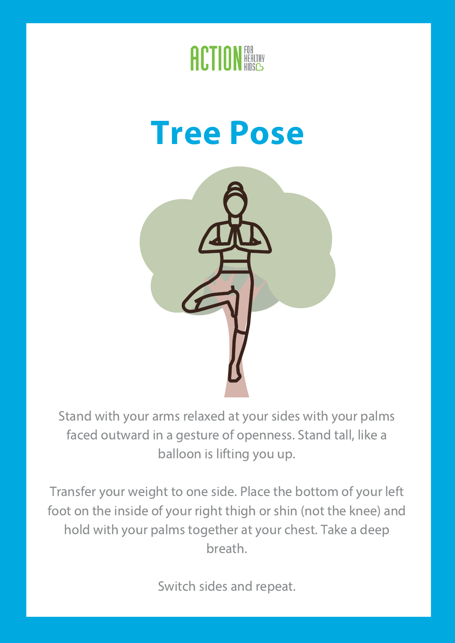

#### **Tree Pose**



Stand with your arms relaxed at your sides with your palms faced outward in a gesture of openness. Stand tall, like a balloon is lifting you up.

Transfer your weight to one side. Place the bottom of your left foot on the inside of your right thigh or shin (not the knee) and hold with your palms together at your chest. Take a deep breath.

Switch sides and repeat.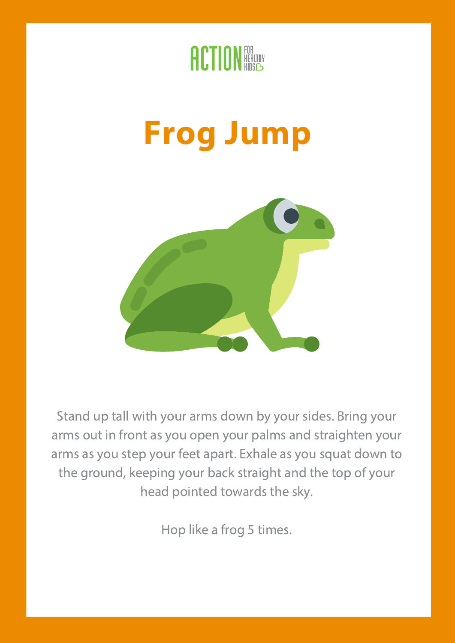

### **Frog Jump**



Stand up tall with your arms down by your sides. Bring your arms out in front as you open your palms and straighten your arms as you step your feet apart. Exhale as you squat down to the ground, keeping your back straight and the top of your head pointed towards the sky.

Hop like a frog 5 times.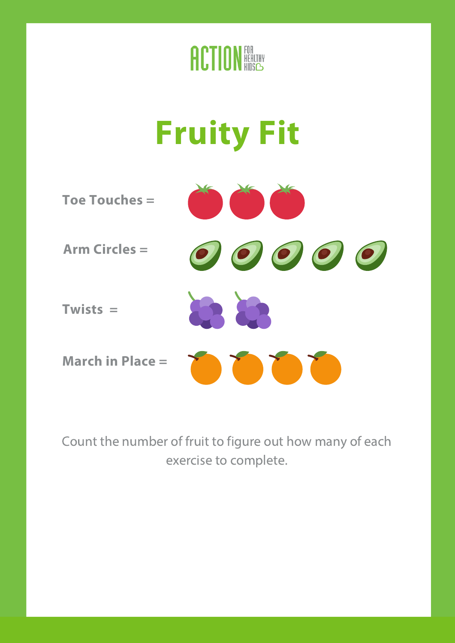

# **Fruity Fit**



Count the number of fruit to figure out how many of each exercise to complete.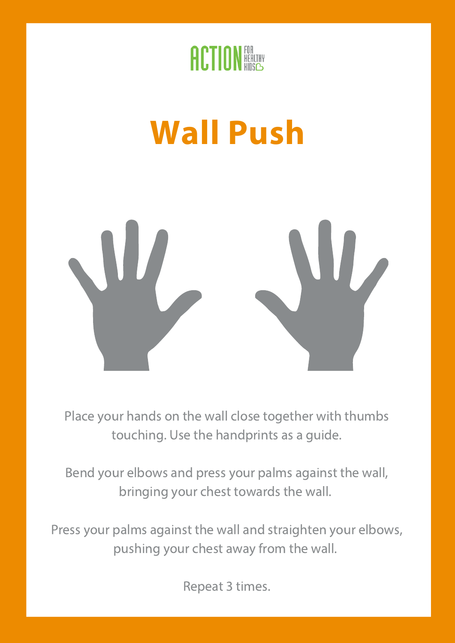

## **Wall Push**



Place your hands on the wall close together with thumbs touching. Use the handprints as a guide.

Bend your elbows and press your palms against the wall, bringing your chest towards the wall.

Press your palms against the wall and straighten your elbows, pushing your chest away from the wall.

Repeat 3 times.